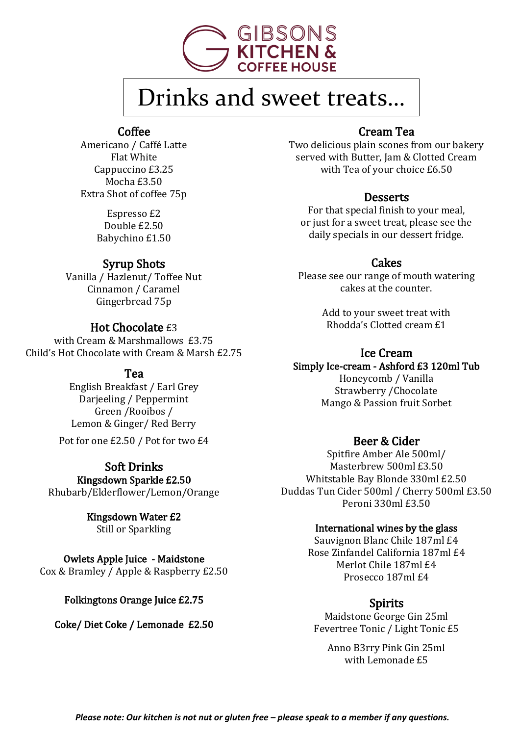

# Drinks and sweet treats…

#### Coffee

Americano / Caffé Latte Flat White Cappuccino £3.25 Mocha £3.50 Extra Shot of coffee 75p

> Espresso £2 Double £2.50 Babychino £1.50

#### Syrup Shots

Vanilla / Hazlenut/ Toffee Nut Cinnamon / Caramel Gingerbread 75p

#### Hot Chocolate £3

with Cream & Marshmallows £3.75 Child's Hot Chocolate with Cream & Marsh £2.75

#### Tea

English Breakfast / Earl Grey Darjeeling / Peppermint Green /Rooibos / Lemon & Ginger/ Red Berry

Pot for one £2.50 / Pot for two £4

#### Soft Drinks Kingsdown Sparkle £2.50

Rhubarb/Elderflower/Lemon/Orange

#### Kingsdown Water £2

Still or Sparkling

#### Owlets Apple Juice - Maidstone

Cox & Bramley / Apple & Raspberry £2.50

#### Folkingtons Orange Juice £2.75

Coke/ Diet Coke / Lemonade £2.50

#### Cream Tea

Two delicious plain scones from our bakery served with Butter, Jam & Clotted Cream with Tea of your choice £6.50

#### **Desserts**

For that special finish to your meal, or just for a sweet treat, please see the daily specials in our dessert fridge.

#### **Cakes**

Please see our range of mouth watering cakes at the counter.

> Add to your sweet treat with Rhodda's Clotted cream £1

#### Ice Cream

Simply Ice-cream - Ashford £3 120ml Tub

Honeycomb / Vanilla Strawberry /Chocolate Mango & Passion fruit Sorbet

#### Beer & Cider

Spitfire Amber Ale 500ml/ Masterbrew 500ml £3.50 Whitstable Bay Blonde 330ml £2.50 Duddas Tun Cider 500ml / Cherry 500ml £3.50 Peroni 330ml £3.50

#### International wines by the glass

Sauvignon Blanc Chile 187ml £4 Rose Zinfandel California 187ml £4 Merlot Chile 187ml £4 Prosecco 187ml £4

#### Spirits

Maidstone George Gin 25ml Fevertree Tonic / Light Tonic £5

Anno B3rry Pink Gin 25ml with Lemonade £5